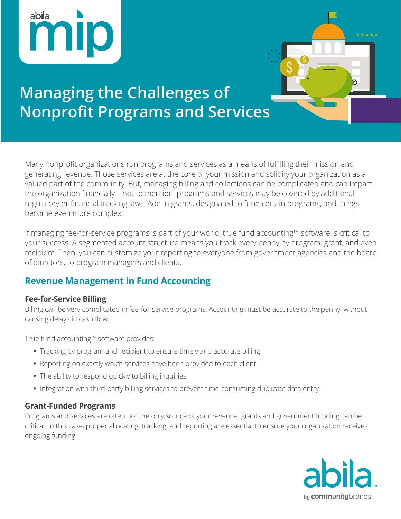



# **Managing the Challenges of Nonprofit Programs and Services**

Many nonprofit organizations run programs and services as a means of fulfilling their mission and generating revenue. Those services are at the core of your mission and solidify your organization as a valued part of the community. But, managing billing and collections can be complicated and can impact the organization financially – not to mention, programs and services may be covered by additional regulatory or financial tracking laws. Add in grants, designated to fund certain programs, and things become even more complex.

If managing fee-for-service programs is part of your world, true fund accounting™ software is critical to your success. A segmented account structure means you track every penny by program, grant, and even recipient. Then, you can customize your reporting to everyone from government agencies and the board of directors, to program managers and clients.

# **Revenue Management in Fund Accounting**

## **Fee-for-Service Billing**

Billing can be very complicated in fee-for-service programs. Accounting must be accurate to the penny, without causing delays in cash flow.

True fund accounting™ software provides:

- **•** Tracking by program and recipient to ensure timely and accurate billing
- **•** Reporting on exactly which services have been provided to each client
- **•** The ability to respond quickly to billing inquiries
- **•** Integration with third-party billing services to prevent time-consuming duplicate data entry

## **Grant-Funded Programs**

Programs and services are often not the only source of your revenue: grants and government funding can be critical. In this case, proper allocating, tracking, and reporting are essential to ensure your organization receives ongoing funding.

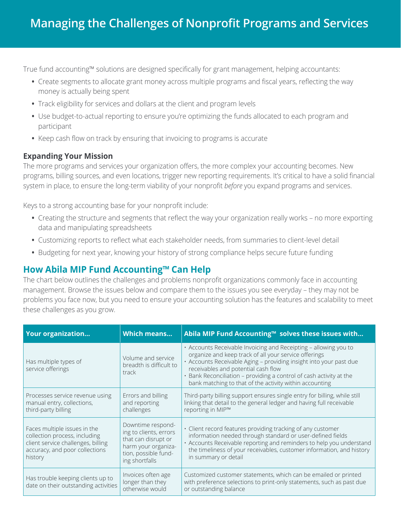True fund accounting™ solutions are designed specifically for grant management, helping accountants:

- **•** Create segments to allocate grant money across multiple programs and fiscal years, reflecting the way money is actually being spent
- **•** Track eligibility for services and dollars at the client and program levels
- **•** Use budget-to-actual reporting to ensure you're optimizing the funds allocated to each program and participant
- **•** Keep cash flow on track by ensuring that invoicing to programs is accurate

## **Expanding Your Mission**

The more programs and services your organization offers, the more complex your accounting becomes. New programs, billing sources, and even locations, trigger new reporting requirements. It's critical to have a solid financial system in place, to ensure the long-term viability of your nonprofit *before* you expand programs and services.

Keys to a strong accounting base for your nonprofit include:

- **•** Creating the structure and segments that reflect the way your organization really works no more exporting data and manipulating spreadsheets
- **•** Customizing reports to reflect what each stakeholder needs, from summaries to client-level detail
- **•** Budgeting for next year, knowing your history of strong compliance helps secure future funding

# **How Abila MIP Fund Accounting™ Can Help**

The chart below outlines the challenges and problems nonprofit organizations commonly face in accounting management. Browse the issues below and compare them to the issues you see everyday – they may not be problems you face now, but you need to ensure your accounting solution has the features and scalability to meet these challenges as you grow.

| <b>Your organization</b>                                                                                                                         | <b>Which means</b>                                                                                                                  | Abila MIP Fund Accounting™ solves these issues with                                                                                                                                                                                                                                                                                                                      |
|--------------------------------------------------------------------------------------------------------------------------------------------------|-------------------------------------------------------------------------------------------------------------------------------------|--------------------------------------------------------------------------------------------------------------------------------------------------------------------------------------------------------------------------------------------------------------------------------------------------------------------------------------------------------------------------|
| Has multiple types of<br>service offerings                                                                                                       | Volume and service<br>breadth is difficult to<br>track                                                                              | • Accounts Receivable Invoicing and Receipting - allowing you to<br>organize and keep track of all your service offerings<br>· Accounts Receivable Aging - providing insight into your past due<br>receivables and potential cash flow<br>· Bank Reconciliation - providing a control of cash activity at the<br>bank matching to that of the activity within accounting |
| Processes service revenue using<br>manual entry, collections,<br>third-party billing                                                             | Errors and billing<br>and reporting<br>challenges                                                                                   | Third-party billing support ensures single entry for billing, while still<br>linking that detail to the general ledger and having full receivable<br>reporting in MIP™                                                                                                                                                                                                   |
| Faces multiple issues in the<br>collection process, including<br>client service challenges, billing<br>accuracy, and poor collections<br>history | Downtime respond-<br>ing to clients, errors<br>that can disrupt or<br>harm your organiza-<br>tion, possible fund-<br>ing shortfalls | · Client record features providing tracking of any customer<br>information needed through standard or user-defined fields<br>· Accounts Receivable reporting and reminders to help you understand<br>the timeliness of your receivables, customer information, and history<br>in summary or detail                                                                       |
| Has trouble keeping clients up to<br>date on their outstanding activities                                                                        | Invoices often age<br>longer than they<br>otherwise would                                                                           | Customized customer statements, which can be emailed or printed<br>with preference selections to print-only statements, such as past due<br>or outstanding balance                                                                                                                                                                                                       |